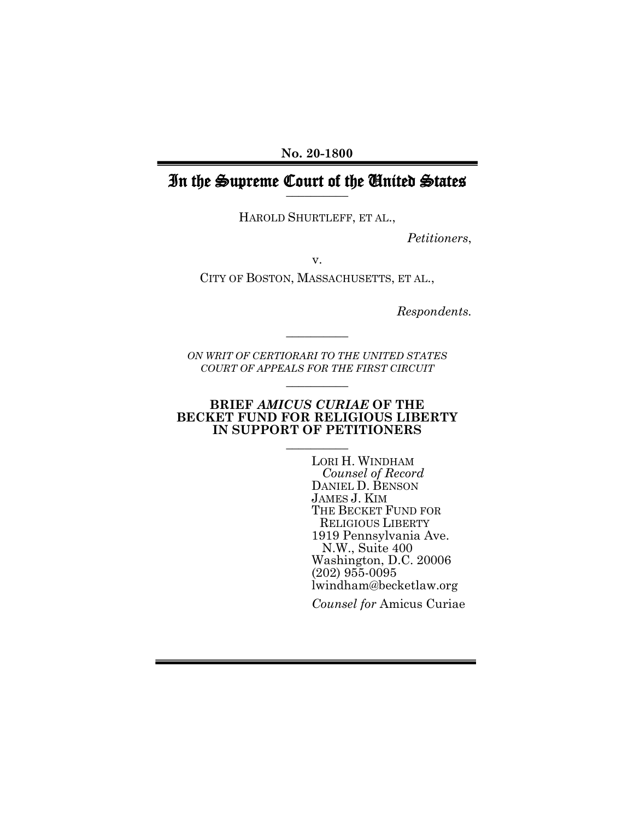**No. 20-1800**

#### In the Supreme Court of the United States **\_\_\_\_\_\_\_\_\_\_**

HAROLD SHURTLEFF, ET AL.,

*Petitioners*,

v.

CITY OF BOSTON, MASSACHUSETTS, ET AL.,

*Respondents.*

*ON WRIT OF CERTIORARI TO THE UNITED STATES COURT OF APPEALS FOR THE FIRST CIRCUIT* **\_\_\_\_\_\_\_\_\_\_**

**\_\_\_\_\_\_\_\_\_\_**

#### **BRIEF** *AMICUS CURIAE* **OF THE BECKET FUND FOR RELIGIOUS LIBERTY IN SUPPORT OF PETITIONERS**

**\_\_\_\_\_\_\_\_\_\_**

LORI H. WINDHAM  *Counsel of Record* DANIEL D. BENSON JAMES J. KIM THE BECKET FUND FOR RELIGIOUS LIBERTY 1919 Pennsylvania Ave. N.W., Suite 400 Washington, D.C. 20006 (202) 955-0095 lwindham@becketlaw.org

*Counsel for* Amicus Curiae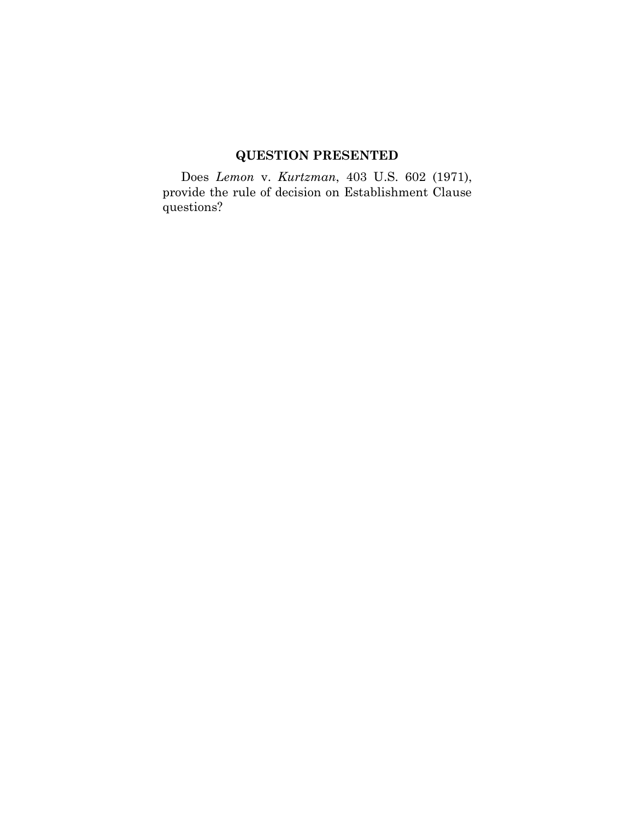# **QUESTION PRESENTED**

Does *Lemon* v. *Kurtzman*, 403 U.S. 602 (1971), provide the rule of decision on Establishment Clause questions?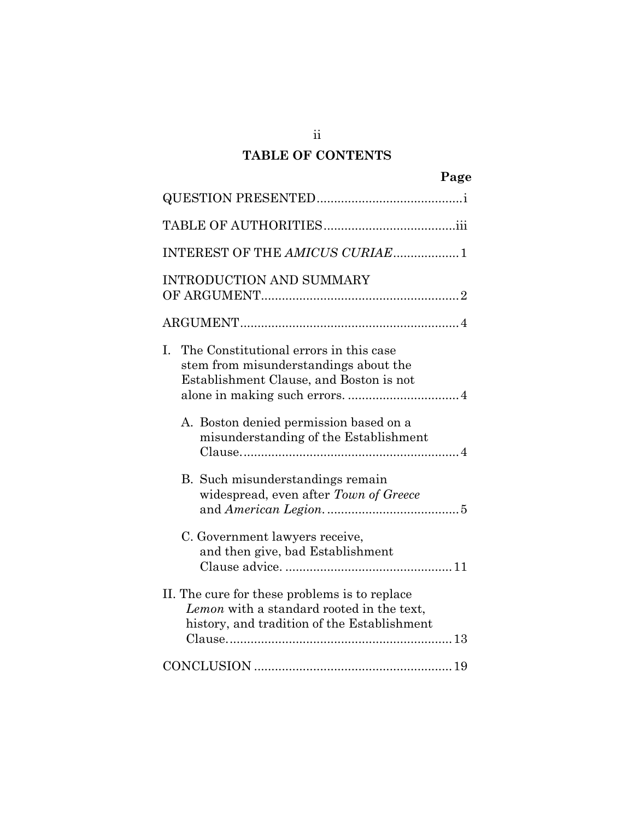# **TABLE OF CONTENTS**

|                                                                                                                                           | Page |
|-------------------------------------------------------------------------------------------------------------------------------------------|------|
|                                                                                                                                           |      |
|                                                                                                                                           |      |
| INTEREST OF THE AMICUS CURIAE1                                                                                                            |      |
| <b>INTRODUCTION AND SUMMARY</b>                                                                                                           |      |
|                                                                                                                                           |      |
| I.<br>The Constitutional errors in this case<br>stem from misunderstandings about the<br>Establishment Clause, and Boston is not          |      |
| A. Boston denied permission based on a<br>misunderstanding of the Establishment                                                           |      |
| B. Such misunderstandings remain<br>widespread, even after Town of Greece                                                                 |      |
| C. Government lawyers receive,<br>and then give, bad Establishment                                                                        |      |
| II. The cure for these problems is to replace<br>Lemon with a standard rooted in the text,<br>history, and tradition of the Establishment |      |
|                                                                                                                                           |      |

ii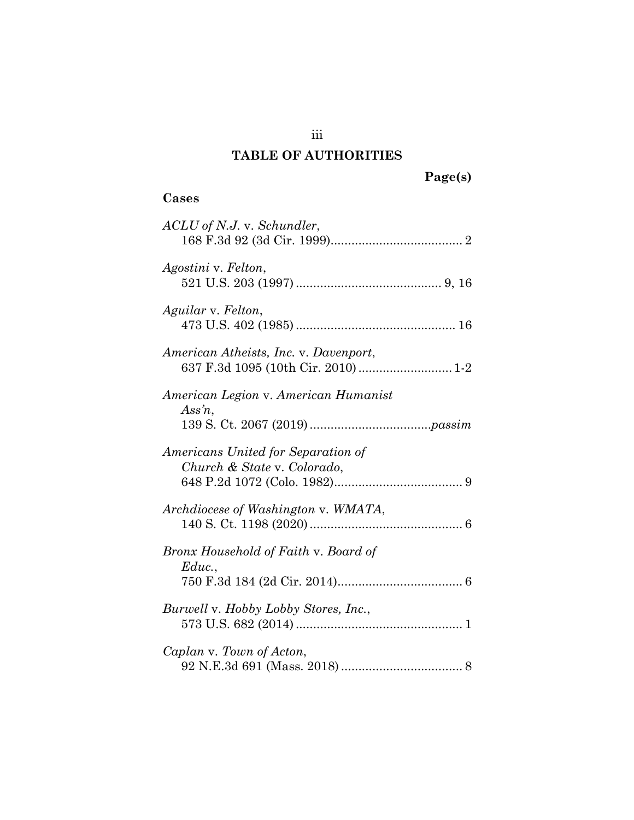# **TABLE OF AUTHORITIES**

# **Cases**

| ACLU of N.J. v. Schundler,                                        |
|-------------------------------------------------------------------|
| Agostini v. Felton,                                               |
| Aguilar v. Felton,                                                |
| American Atheists, Inc. v. Davenport,                             |
| American Legion v. American Humanist<br>$Assn$ ,                  |
| Americans United for Separation of<br>Church & State v. Colorado, |
| Archdiocese of Washington v. WMATA,                               |
| Bronx Household of Faith v. Board of<br>Educ.,                    |
| Burwell v. Hobby Lobby Stores, Inc.,                              |
| Caplan v. Town of Acton,                                          |

iii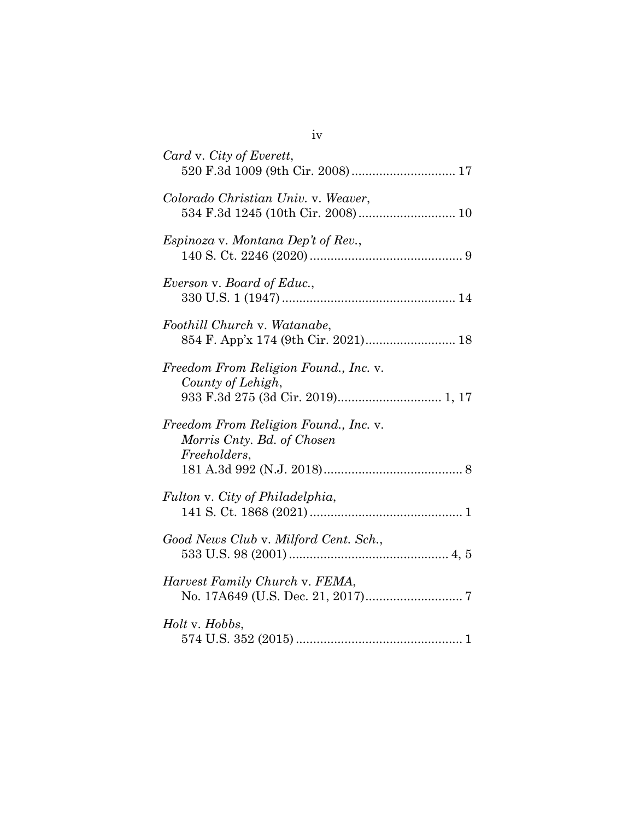| Card v. City of Everett,<br>520 F.3d 1009 (9th Cir. 2008)  17                                   |
|-------------------------------------------------------------------------------------------------|
| Colorado Christian Univ. v. Weaver,<br>534 F.3d 1245 (10th Cir. 2008)  10                       |
| <i>Espinoza</i> v. <i>Montana Dep't of Rev.</i> ,                                               |
| Everson v. Board of Educ.,                                                                      |
| Foothill Church v. Watanabe,<br>854 F. App'x 174 (9th Cir. 2021) 18                             |
| Freedom From Religion Found., Inc. v.<br>County of Lehigh,<br>933 F.3d 275 (3d Cir. 2019) 1, 17 |
| Freedom From Religion Found., Inc. v.<br>Morris Cnty. Bd. of Chosen<br>Freeholders,             |
| Fulton v. City of Philadelphia,                                                                 |
| Good News Club v. Milford Cent. Sch.,                                                           |
| Harvest Family Church v. FEMA,                                                                  |
| Holt v. Hobbs,                                                                                  |

iv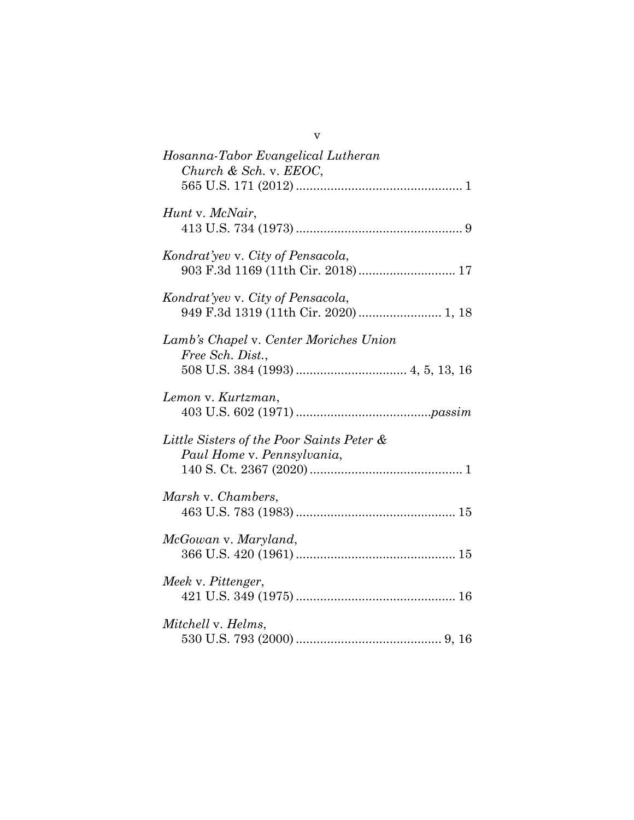| V                                                                          |
|----------------------------------------------------------------------------|
| Hosanna-Tabor Evangelical Lutheran<br>Church & Sch. v. EEOC,               |
| Hunt v. McNair,                                                            |
| Kondrat'yev v. City of Pensacola,<br>903 F.3d 1169 (11th Cir. 2018) 17     |
| Kondrat'yev v. City of Pensacola,<br>949 F.3d 1319 (11th Cir. 2020)  1, 18 |
| Lamb's Chapel v. Center Moriches Union<br>Free Sch. Dist.,                 |
| Lemon v. Kurtzman,                                                         |
| Little Sisters of the Poor Saints Peter &<br>Paul Home v. Pennsylvania,    |
| Marsh v. Chambers,                                                         |
| McGowan v. Maryland,                                                       |
| Meek v. Pittenger,                                                         |
| Mitchell v. Helms,                                                         |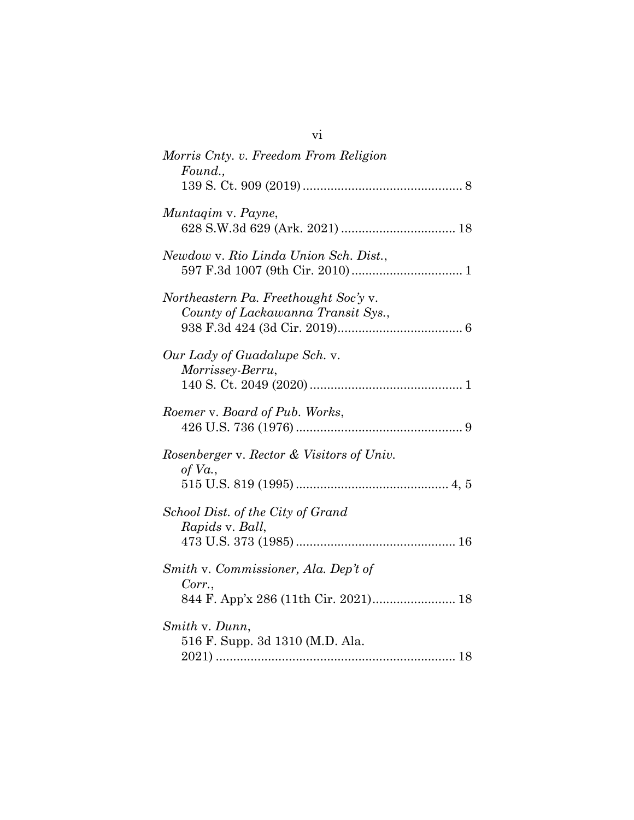| Morris Cnty. v. Freedom From Religion<br>Found.,                                       |
|----------------------------------------------------------------------------------------|
|                                                                                        |
| Muntagim v. Payne,                                                                     |
| Newdow v. Rio Linda Union Sch. Dist.,                                                  |
| Northeastern Pa. Freethought Soc'y v.<br>County of Lackawanna Transit Sys.,            |
| Our Lady of Guadalupe Sch. v.<br>Morrissey-Berru,                                      |
| Roemer v. Board of Pub. Works,                                                         |
| Rosenberger v. Rector & Visitors of Univ.<br>of $Va$ .,                                |
| School Dist. of the City of Grand<br>Rapids v. Ball,                                   |
| Smith v. Commissioner, Ala. Dep't of<br>Corr.,<br>844 F. App'x 286 (11th Cir. 2021) 18 |
| Smith v. Dunn,<br>516 F. Supp. 3d 1310 (M.D. Ala.                                      |

vi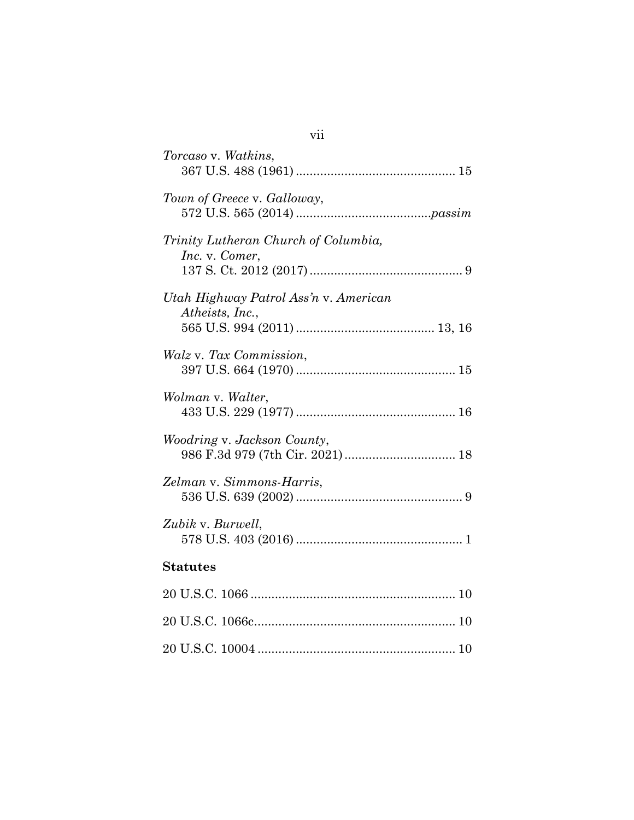| Torcaso v. Watkins,                                      |
|----------------------------------------------------------|
| Town of Greece v. Galloway,                              |
| Trinity Lutheran Church of Columbia,<br>Inc. v. Comer,   |
| Utah Highway Patrol Ass'n v. American<br>Atheists, Inc., |
| Walz v. Tax Commission,                                  |
| Wolman v. Walter,                                        |
| Woodring v. Jackson County,                              |
| Zelman v. Simmons-Harris,                                |
| Zubik v. Burwell,                                        |
| <b>Statutes</b>                                          |
|                                                          |
|                                                          |
|                                                          |

vii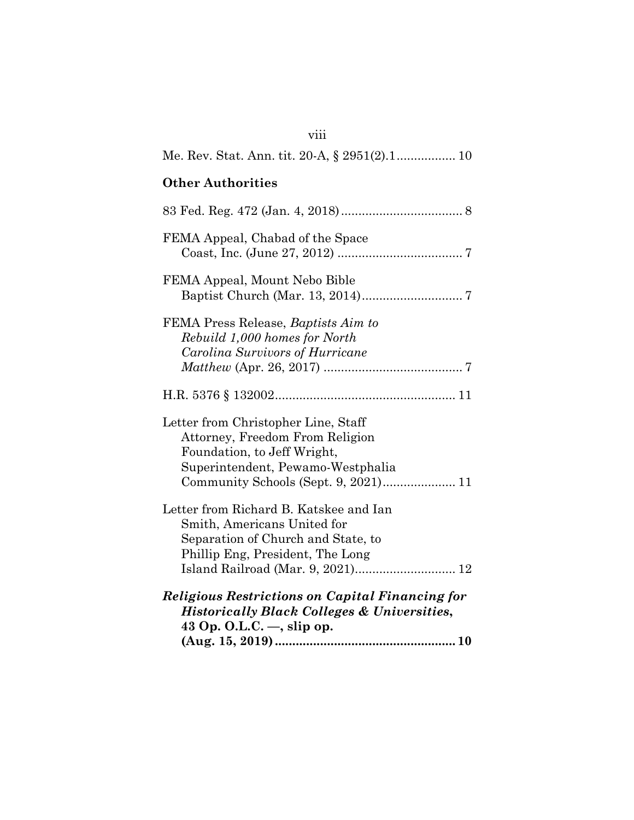| viii                                                                                                                                                                                 |
|--------------------------------------------------------------------------------------------------------------------------------------------------------------------------------------|
| Me. Rev. Stat. Ann. tit. 20-A, § 2951(2).1 10                                                                                                                                        |
| <b>Other Authorities</b>                                                                                                                                                             |
|                                                                                                                                                                                      |
| FEMA Appeal, Chabad of the Space                                                                                                                                                     |
| FEMA Appeal, Mount Nebo Bible                                                                                                                                                        |
| FEMA Press Release, Baptists Aim to<br>Rebuild 1,000 homes for North<br>Carolina Survivors of Hurricane                                                                              |
|                                                                                                                                                                                      |
| Letter from Christopher Line, Staff<br>Attorney, Freedom From Religion<br>Foundation, to Jeff Wright,<br>Superintendent, Pewamo-Westphalia<br>Community Schools (Sept. 9, 2021) 11   |
| Letter from Richard B. Katskee and Ian<br>Smith, Americans United for<br>Separation of Church and State, to<br>Phillip Eng, President, The Long<br>Island Railroad (Mar. 9, 2021) 12 |
| <b>Religious Restrictions on Capital Financing for</b><br><b>Historically Black Colleges &amp; Universities,</b><br>43 Op. O.L.C. $-$ , slip op.                                     |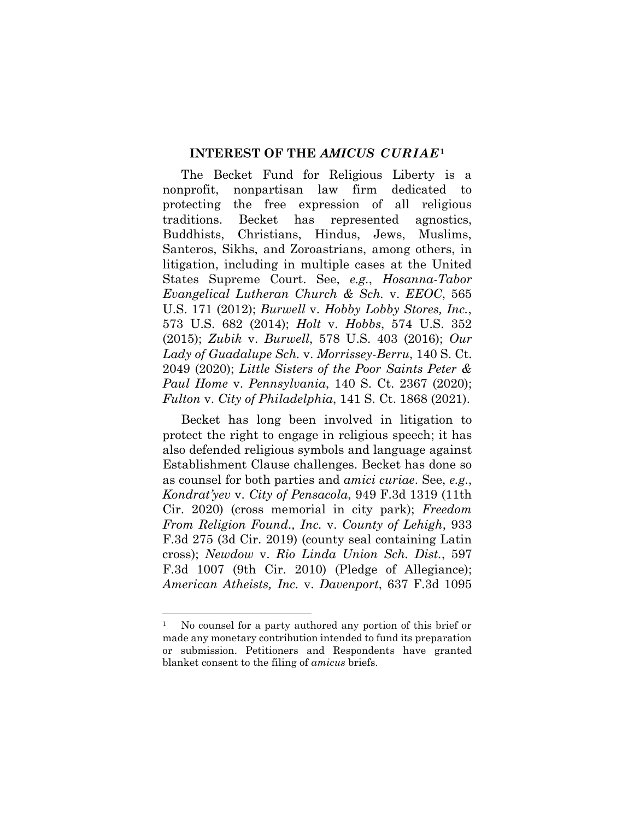#### **INTEREST OF THE** *AMICUS CURIAE***<sup>1</sup>**

The Becket Fund for Religious Liberty is a nonprofit, nonpartisan law firm dedicated to protecting the free expression of all religious traditions. Becket has represented agnostics, Buddhists, Christians, Hindus, Jews, Muslims, Santeros, Sikhs, and Zoroastrians, among others, in litigation, including in multiple cases at the United States Supreme Court. See, *e.g.*, *Hosanna-Tabor Evangelical Lutheran Church & Sch.* v. *EEOC*, 565 U.S. 171 (2012); *Burwell* v. *Hobby Lobby Stores, Inc.*, 573 U.S. 682 (2014); *Holt* v. *Hobbs*, 574 U.S. 352 (2015); *Zubik* v. *Burwell*, 578 U.S. 403 (2016); *Our Lady of Guadalupe Sch.* v. *Morrissey-Berru*, 140 S. Ct. 2049 (2020); *Little Sisters of the Poor Saints Peter & Paul Home* v. *Pennsylvania*, 140 S. Ct. 2367 (2020); *Fulton* v. *City of Philadelphia*, 141 S. Ct. 1868 (2021).

Becket has long been involved in litigation to protect the right to engage in religious speech; it has also defended religious symbols and language against Establishment Clause challenges. Becket has done so as counsel for both parties and *amici curiae*. See, *e.g.*, *Kondrat'yev* v. *City of Pensacola*, 949 F.3d 1319 (11th Cir. 2020) (cross memorial in city park); *Freedom From Religion Found., Inc.* v. *County of Lehigh*, 933 F.3d 275 (3d Cir. 2019) (county seal containing Latin cross); *Newdow* v. *Rio Linda Union Sch. Dist.*, 597 F.3d 1007 (9th Cir. 2010) (Pledge of Allegiance); *American Atheists, Inc.* v. *Davenport*, 637 F.3d 1095

<sup>&</sup>lt;sup>1</sup> No counsel for a party authored any portion of this brief or made any monetary contribution intended to fund its preparation or submission. Petitioners and Respondents have granted blanket consent to the filing of *amicus* briefs.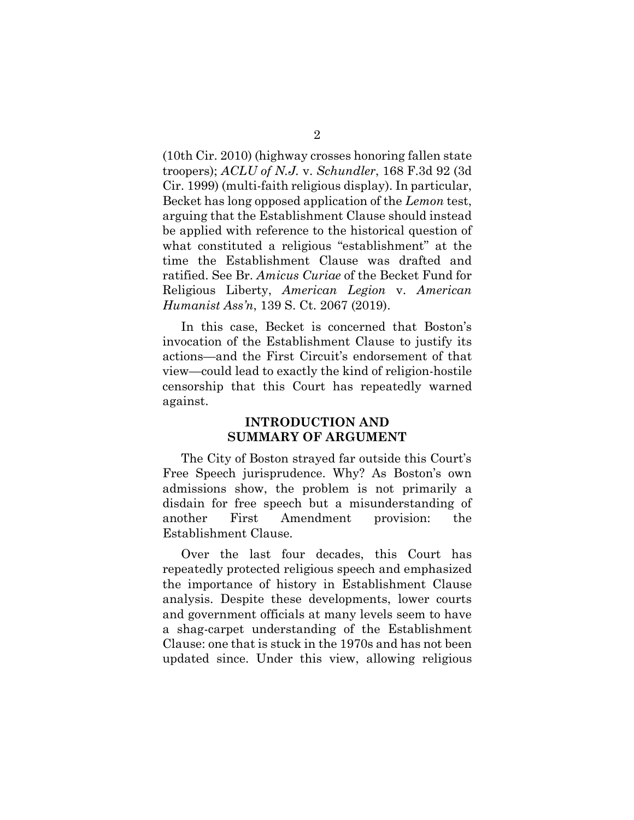(10th Cir. 2010) (highway crosses honoring fallen state troopers); *ACLU of N.J.* v. *Schundler*, 168 F.3d 92 (3d Cir. 1999) (multi-faith religious display). In particular, Becket has long opposed application of the *Lemon* test, arguing that the Establishment Clause should instead be applied with reference to the historical question of what constituted a religious "establishment" at the time the Establishment Clause was drafted and ratified. See Br. *Amicus Curiae* of the Becket Fund for Religious Liberty, *American Legion* v. *American Humanist Ass'n*, 139 S. Ct. 2067 (2019).

In this case, Becket is concerned that Boston's invocation of the Establishment Clause to justify its actions—and the First Circuit's endorsement of that view—could lead to exactly the kind of religion-hostile censorship that this Court has repeatedly warned against.

## **INTRODUCTION AND SUMMARY OF ARGUMENT**

The City of Boston strayed far outside this Court's Free Speech jurisprudence. Why? As Boston's own admissions show, the problem is not primarily a disdain for free speech but a misunderstanding of another First Amendment provision: the Establishment Clause.

Over the last four decades, this Court has repeatedly protected religious speech and emphasized the importance of history in Establishment Clause analysis. Despite these developments, lower courts and government officials at many levels seem to have a shag-carpet understanding of the Establishment Clause: one that is stuck in the 1970s and has not been updated since. Under this view, allowing religious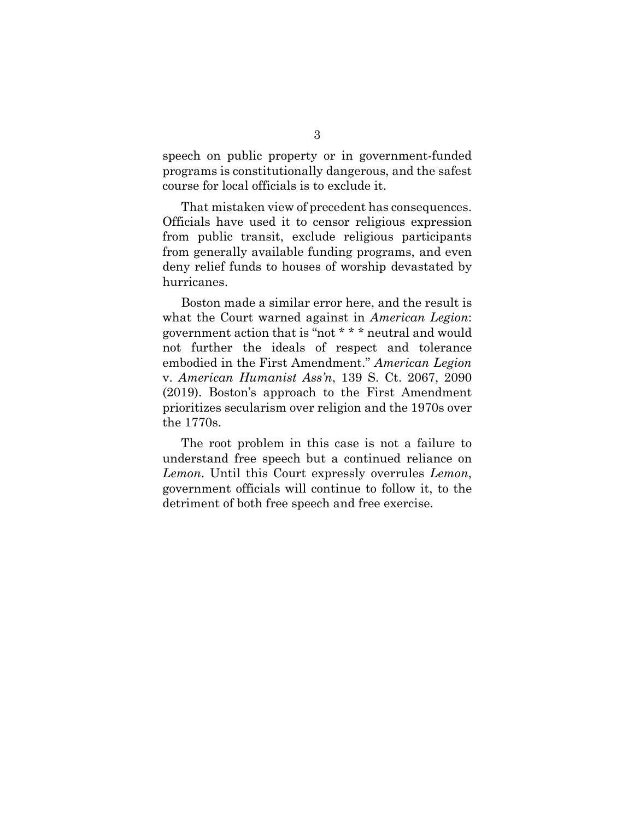speech on public property or in government-funded programs is constitutionally dangerous, and the safest course for local officials is to exclude it.

That mistaken view of precedent has consequences. Officials have used it to censor religious expression from public transit, exclude religious participants from generally available funding programs, and even deny relief funds to houses of worship devastated by hurricanes.

Boston made a similar error here, and the result is what the Court warned against in *American Legion*: government action that is "not \* \* \* neutral and would not further the ideals of respect and tolerance embodied in the First Amendment." *American Legion* v. *American Humanist Ass'n*, 139 S. Ct. 2067, 2090 (2019). Boston's approach to the First Amendment prioritizes secularism over religion and the 1970s over the 1770s.

The root problem in this case is not a failure to understand free speech but a continued reliance on *Lemon*. Until this Court expressly overrules *Lemon*, government officials will continue to follow it, to the detriment of both free speech and free exercise.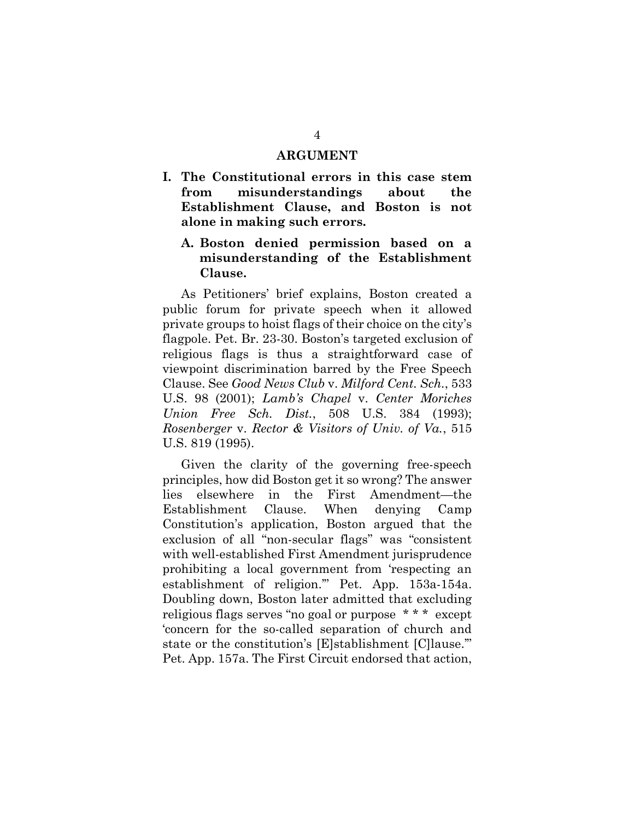#### **ARGUMENT**

**I. The Constitutional errors in this case stem from misunderstandings about the Establishment Clause, and Boston is not alone in making such errors.**

## **A. Boston denied permission based on a misunderstanding of the Establishment Clause.**

As Petitioners' brief explains, Boston created a public forum for private speech when it allowed private groups to hoist flags of their choice on the city's flagpole. Pet. Br. 23-30. Boston's targeted exclusion of religious flags is thus a straightforward case of viewpoint discrimination barred by the Free Speech Clause. See *Good News Club* v. *Milford Cent. Sch.*, 533 U.S. 98 (2001); *Lamb's Chapel* v. *Center Moriches Union Free Sch. Dist.*, 508 U.S. 384 (1993); *Rosenberger* v. *Rector & Visitors of Univ. of Va.*, 515 U.S. 819 (1995).

Given the clarity of the governing free-speech principles, how did Boston get it so wrong? The answer lies elsewhere in the First Amendment—the Establishment Clause. When denying Camp Constitution's application, Boston argued that the exclusion of all "non-secular flags" was "consistent with well-established First Amendment jurisprudence prohibiting a local government from 'respecting an establishment of religion.'" Pet. App. 153a-154a. Doubling down, Boston later admitted that excluding religious flags serves "no goal or purpose \* \* \* except 'concern for the so-called separation of church and state or the constitution's [E]stablishment [C]lause.'" Pet. App. 157a. The First Circuit endorsed that action,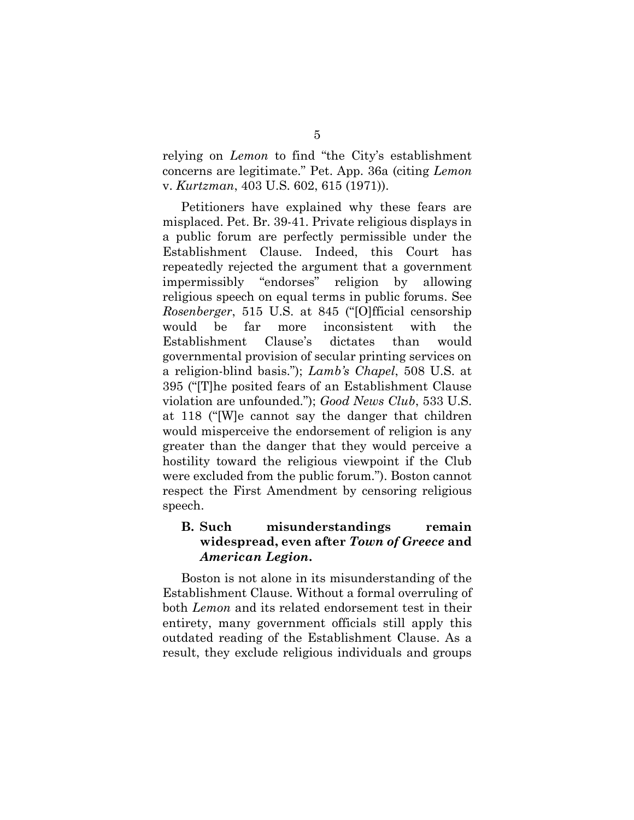relying on *Lemon* to find "the City's establishment concerns are legitimate." Pet. App. 36a (citing *Lemon*  v. *Kurtzman*, 403 U.S. 602, 615 (1971)).

Petitioners have explained why these fears are misplaced. Pet. Br. 39-41. Private religious displays in a public forum are perfectly permissible under the Establishment Clause. Indeed, this Court has repeatedly rejected the argument that a government impermissibly "endorses" religion by allowing religious speech on equal terms in public forums. See *Rosenberger*, 515 U.S. at 845 ("[O]fficial censorship would be far more inconsistent with the Establishment Clause's dictates than would governmental provision of secular printing services on a religion-blind basis."); *Lamb's Chapel*, 508 U.S. at 395 ("[T]he posited fears of an Establishment Clause violation are unfounded."); *Good News Club*, 533 U.S. at 118 ("[W]e cannot say the danger that children would misperceive the endorsement of religion is any greater than the danger that they would perceive a hostility toward the religious viewpoint if the Club were excluded from the public forum."). Boston cannot respect the First Amendment by censoring religious speech.

## **B. Such misunderstandings remain widespread, even after** *Town of Greece* **and**  *American Legion***.**

Boston is not alone in its misunderstanding of the Establishment Clause. Without a formal overruling of both *Lemon* and its related endorsement test in their entirety, many government officials still apply this outdated reading of the Establishment Clause. As a result, they exclude religious individuals and groups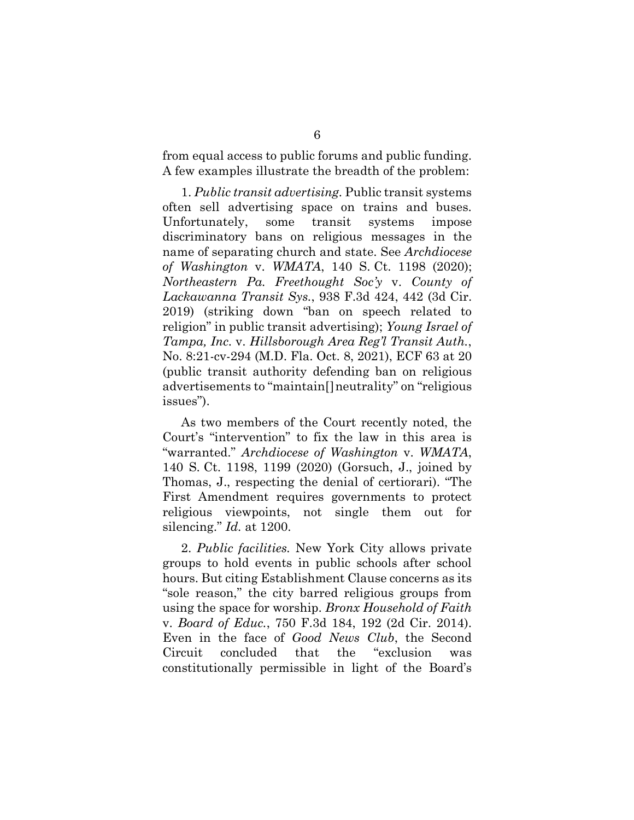from equal access to public forums and public funding. A few examples illustrate the breadth of the problem:

1. *Public transit advertising.* Public transit systems often sell advertising space on trains and buses. Unfortunately, some transit systems impose discriminatory bans on religious messages in the name of separating church and state. See *Archdiocese of Washington* v. *WMATA*, 140 S. Ct. 1198 (2020); *Northeastern Pa. Freethought Soc'y* v. *County of Lackawanna Transit Sys.*, 938 F.3d 424, 442 (3d Cir. 2019) (striking down "ban on speech related to religion" in public transit advertising); *Young Israel of Tampa, Inc.* v. *Hillsborough Area Reg'l Transit Auth.*, No. 8:21-cv-294 (M.D. Fla. Oct. 8, 2021), ECF 63 at 20 (public transit authority defending ban on religious advertisements to "maintain[]neutrality" on "religious issues").

As two members of the Court recently noted, the Court's "intervention" to fix the law in this area is "warranted." *Archdiocese of Washington* v. *WMATA*, 140 S. Ct. 1198, 1199 (2020) (Gorsuch, J., joined by Thomas, J., respecting the denial of certiorari). "The First Amendment requires governments to protect religious viewpoints, not single them out for silencing." *Id.* at 1200.

2. *Public facilities.* New York City allows private groups to hold events in public schools after school hours. But citing Establishment Clause concerns as its "sole reason," the city barred religious groups from using the space for worship. *Bronx Household of Faith*  v. *Board of Educ.*, 750 F.3d 184, 192 (2d Cir. 2014). Even in the face of *Good News Club*, the Second Circuit concluded that the "exclusion was constitutionally permissible in light of the Board's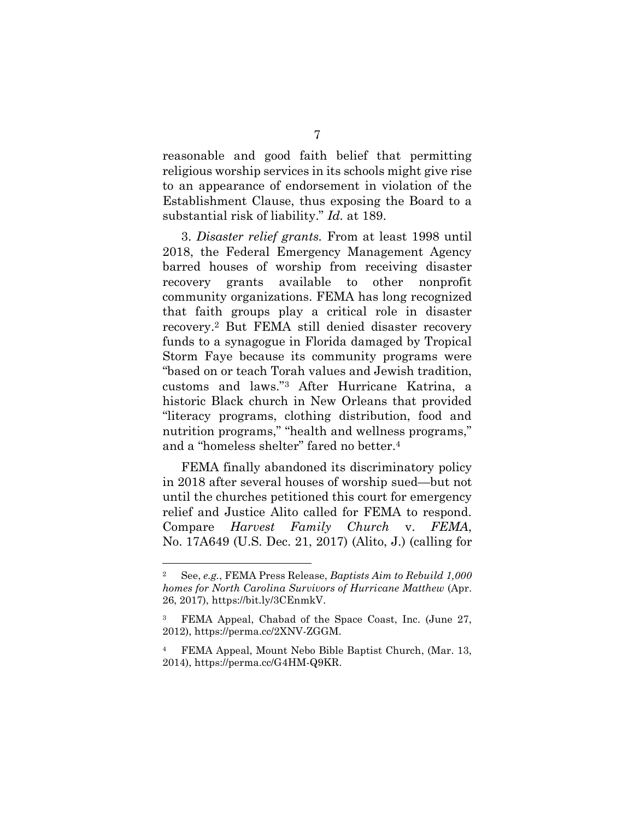reasonable and good faith belief that permitting religious worship services in its schools might give rise to an appearance of endorsement in violation of the Establishment Clause, thus exposing the Board to a substantial risk of liability." *Id.* at 189.

3. *Disaster relief grants.* From at least 1998 until 2018, the Federal Emergency Management Agency barred houses of worship from receiving disaster recovery grants available to other nonprofit community organizations. FEMA has long recognized that faith groups play a critical role in disaster recovery. <sup>2</sup> But FEMA still denied disaster recovery funds to a synagogue in Florida damaged by Tropical Storm Faye because its community programs were "based on or teach Torah values and Jewish tradition, customs and laws."<sup>3</sup> After Hurricane Katrina, a historic Black church in New Orleans that provided "literacy programs, clothing distribution, food and nutrition programs," "health and wellness programs," and a "homeless shelter" fared no better.<sup>4</sup>

FEMA finally abandoned its discriminatory policy in 2018 after several houses of worship sued—but not until the churches petitioned this court for emergency relief and Justice Alito called for FEMA to respond. Compare *Harvest Family Church* v. *FEMA*, No. 17A649 (U.S. Dec. 21, 2017) (Alito, J.) (calling for

<sup>2</sup> See, *e.g.*, FEMA Press Release, *Baptists Aim to Rebuild 1,000 homes for North Carolina Survivors of Hurricane Matthew* (Apr. 26, 2017), https://bit.ly/3CEnmkV.

<sup>3</sup> FEMA Appeal, Chabad of the Space Coast, Inc. (June 27, 2012), https://perma.cc/2XNV-ZGGM.

<sup>4</sup> FEMA Appeal, Mount Nebo Bible Baptist Church, (Mar. 13, 2014), https://perma.cc/G4HM-Q9KR.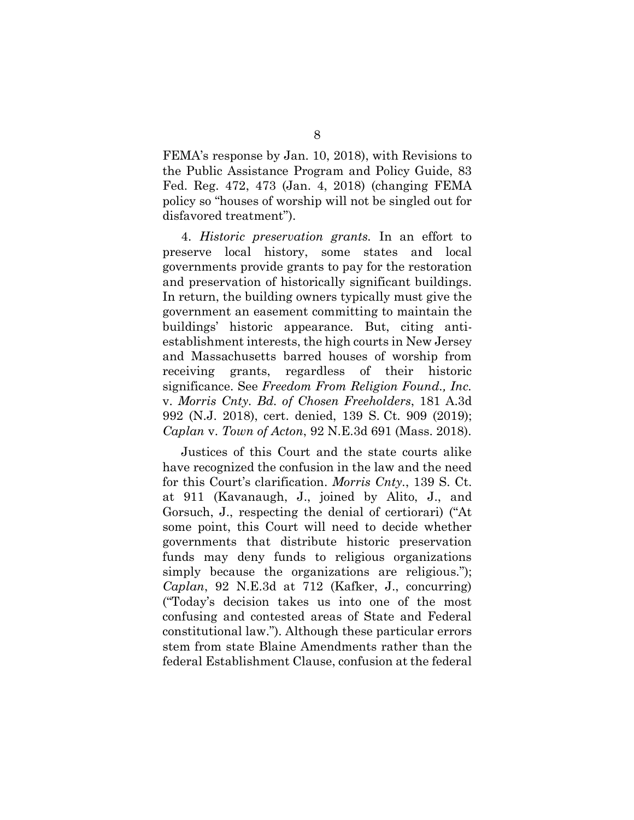FEMA's response by Jan. 10, 2018), with Revisions to the Public Assistance Program and Policy Guide, 83 Fed. Reg. 472, 473 (Jan. 4, 2018) (changing FEMA policy so "houses of worship will not be singled out for disfavored treatment").

4. *Historic preservation grants.* In an effort to preserve local history, some states and local governments provide grants to pay for the restoration and preservation of historically significant buildings. In return, the building owners typically must give the government an easement committing to maintain the buildings' historic appearance. But, citing antiestablishment interests, the high courts in New Jersey and Massachusetts barred houses of worship from receiving grants, regardless of their historic significance. See *Freedom From Religion Found., Inc.* v. *Morris Cnty. Bd. of Chosen Freeholders*, 181 A.3d 992 (N.J. 2018), cert. denied, 139 S. Ct. 909 (2019); *Caplan* v. *Town of Acton*, 92 N.E.3d 691 (Mass. 2018).

Justices of this Court and the state courts alike have recognized the confusion in the law and the need for this Court's clarification. *Morris Cnty.*, 139 S. Ct. at 911 (Kavanaugh, J., joined by Alito, J., and Gorsuch, J., respecting the denial of certiorari) ("At some point, this Court will need to decide whether governments that distribute historic preservation funds may deny funds to religious organizations simply because the organizations are religious."); *Caplan*, 92 N.E.3d at 712 (Kafker, J., concurring) ("Today's decision takes us into one of the most confusing and contested areas of State and Federal constitutional law."). Although these particular errors stem from state Blaine Amendments rather than the federal Establishment Clause, confusion at the federal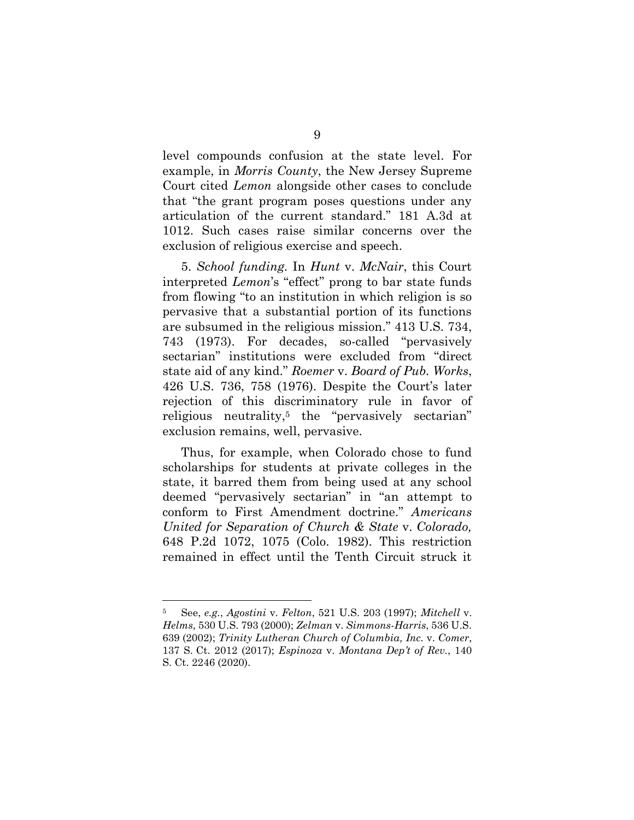level compounds confusion at the state level. For example, in *Morris County*, the New Jersey Supreme Court cited *Lemon* alongside other cases to conclude that "the grant program poses questions under any articulation of the current standard." 181 A.3d at 1012. Such cases raise similar concerns over the exclusion of religious exercise and speech.

5. *School funding.* In *Hunt* v. *McNair*, this Court interpreted *Lemon*'s "effect" prong to bar state funds from flowing "to an institution in which religion is so pervasive that a substantial portion of its functions are subsumed in the religious mission." 413 U.S. 734, 743 (1973). For decades, so-called "pervasively sectarian" institutions were excluded from "direct state aid of any kind." *Roemer* v. *Board of Pub. Works*, 426 U.S. 736, 758 (1976). Despite the Court's later rejection of this discriminatory rule in favor of religious neutrality, <sup>5</sup> the "pervasively sectarian" exclusion remains, well, pervasive.

Thus, for example, when Colorado chose to fund scholarships for students at private colleges in the state, it barred them from being used at any school deemed "pervasively sectarian" in "an attempt to conform to First Amendment doctrine." *Americans United for Separation of Church & State* v. *Colorado,* 648 P.2d 1072, 1075 (Colo. 1982). This restriction remained in effect until the Tenth Circuit struck it

<sup>5</sup> See, *e.g.*, *Agostini* v. *Felton*, 521 U.S. 203 (1997); *Mitchell* v. *Helms*, 530 U.S. 793 (2000); *Zelman* v. *Simmons-Harris*, 536 U.S. 639 (2002); *Trinity Lutheran Church of Columbia, Inc.* v. *Comer*, 137 S. Ct. 2012 (2017); *Espinoza* v. *Montana Dep't of Rev.*, 140 S. Ct. 2246 (2020).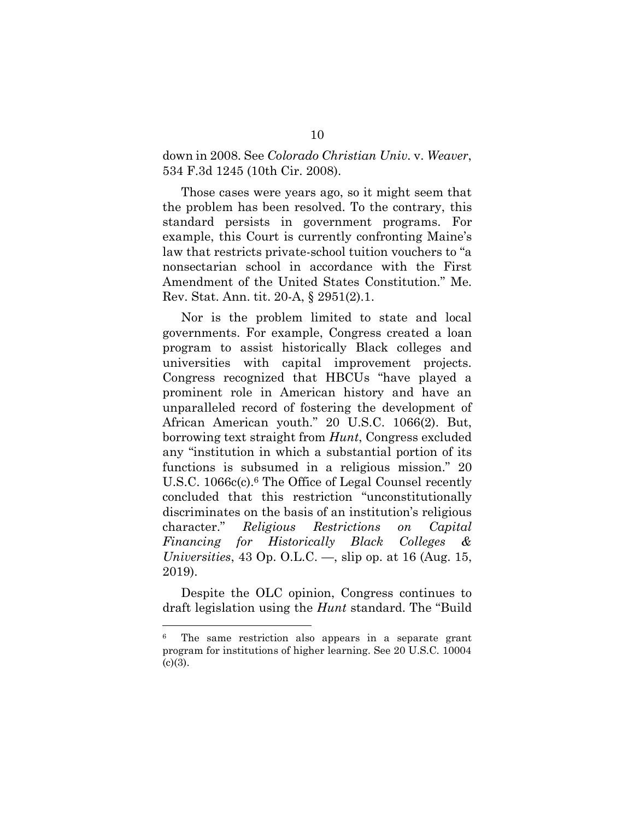### down in 2008. See *Colorado Christian Univ.* v. *Weaver*, 534 F.3d 1245 (10th Cir. 2008).

Those cases were years ago, so it might seem that the problem has been resolved. To the contrary, this standard persists in government programs. For example, this Court is currently confronting Maine's law that restricts private-school tuition vouchers to "a nonsectarian school in accordance with the First Amendment of the United States Constitution." Me. Rev. Stat. Ann. tit. 20-A, § 2951(2).1.

Nor is the problem limited to state and local governments. For example, Congress created a loan program to assist historically Black colleges and universities with capital improvement projects. Congress recognized that HBCUs "have played a prominent role in American history and have an unparalleled record of fostering the development of African American youth." 20 U.S.C. 1066(2). But, borrowing text straight from *Hunt*, Congress excluded any "institution in which a substantial portion of its functions is subsumed in a religious mission." 20 U.S.C. 1066c(c).<sup>6</sup> The Office of Legal Counsel recently concluded that this restriction "unconstitutionally discriminates on the basis of an institution's religious character." *Religious Restrictions on Capital Financing for Historically Black Colleges & Universities*, 43 Op. O.L.C. —, slip op. at 16 (Aug. 15, 2019).

Despite the OLC opinion, Congress continues to draft legislation using the *Hunt* standard. The "Build

<sup>6</sup> The same restriction also appears in a separate grant program for institutions of higher learning. See 20 U.S.C. 10004  $(c)(3)$ .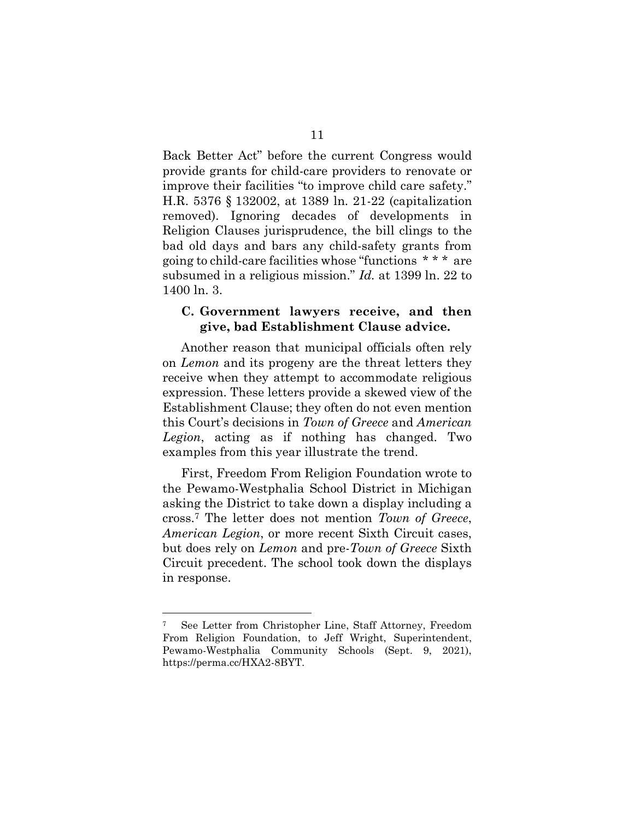Back Better Act" before the current Congress would provide grants for child-care providers to renovate or improve their facilities "to improve child care safety." H.R. 5376 § 132002, at 1389 ln. 21-22 (capitalization removed). Ignoring decades of developments in Religion Clauses jurisprudence, the bill clings to the bad old days and bars any child-safety grants from going to child-care facilities whose "functions \* \* \* are subsumed in a religious mission." *Id.* at 1399 ln. 22 to 1400 ln. 3.

#### **C. Government lawyers receive, and then give, bad Establishment Clause advice.**

Another reason that municipal officials often rely on *Lemon* and its progeny are the threat letters they receive when they attempt to accommodate religious expression. These letters provide a skewed view of the Establishment Clause; they often do not even mention this Court's decisions in *Town of Greece* and *American Legion*, acting as if nothing has changed. Two examples from this year illustrate the trend.

First, Freedom From Religion Foundation wrote to the Pewamo-Westphalia School District in Michigan asking the District to take down a display including a cross.<sup>7</sup> The letter does not mention *Town of Greece*, *American Legion*, or more recent Sixth Circuit cases, but does rely on *Lemon* and pre-*Town of Greece* Sixth Circuit precedent. The school took down the displays in response.

<sup>7</sup> See Letter from Christopher Line, Staff Attorney, Freedom From Religion Foundation, to Jeff Wright, Superintendent, Pewamo-Westphalia Community Schools (Sept. 9, 2021), https://perma.cc/HXA2-8BYT.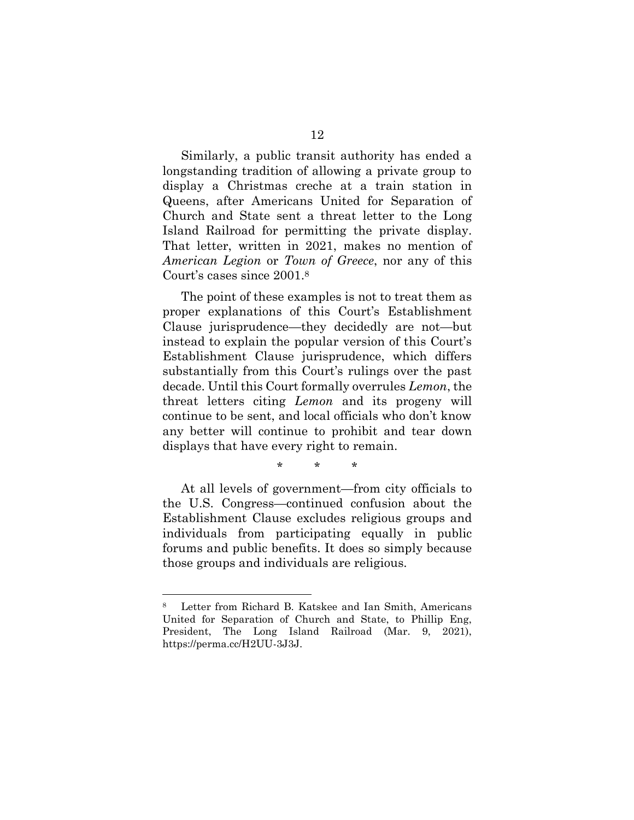Similarly, a public transit authority has ended a longstanding tradition of allowing a private group to display a Christmas creche at a train station in Queens, after Americans United for Separation of Church and State sent a threat letter to the Long Island Railroad for permitting the private display. That letter, written in 2021, makes no mention of *American Legion* or *Town of Greece*, nor any of this Court's cases since 2001.<sup>8</sup>

The point of these examples is not to treat them as proper explanations of this Court's Establishment Clause jurisprudence—they decidedly are not—but instead to explain the popular version of this Court's Establishment Clause jurisprudence, which differs substantially from this Court's rulings over the past decade. Until this Court formally overrules *Lemon*, the threat letters citing *Lemon* and its progeny will continue to be sent, and local officials who don't know any better will continue to prohibit and tear down displays that have every right to remain.

\* \* \*

At all levels of government—from city officials to the U.S. Congress—continued confusion about the Establishment Clause excludes religious groups and individuals from participating equally in public forums and public benefits. It does so simply because those groups and individuals are religious.

Letter from Richard B. Katskee and Ian Smith, Americans United for Separation of Church and State, to Phillip Eng, President, The Long Island Railroad (Mar. 9, 2021), https://perma.cc/H2UU-3J3J.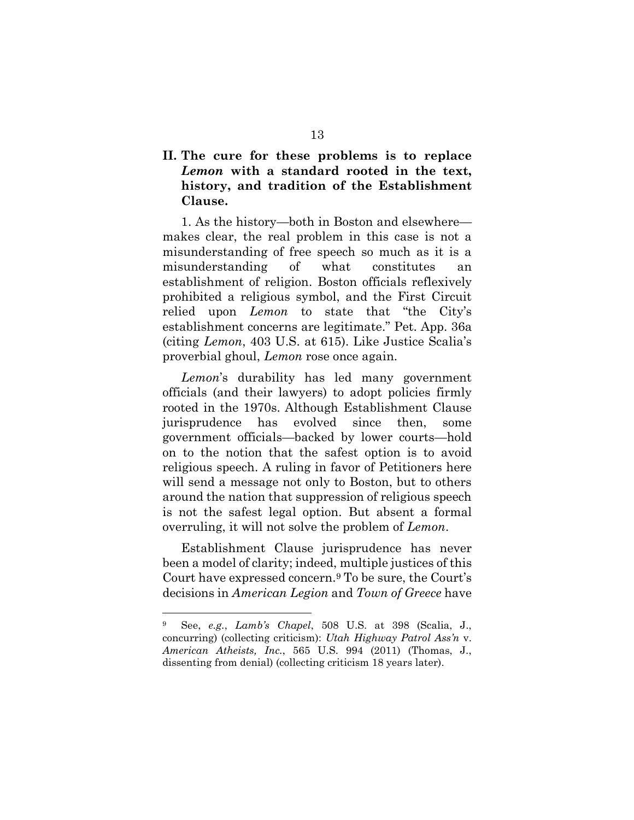# **II. The cure for these problems is to replace**  *Lemon* **with a standard rooted in the text, history, and tradition of the Establishment Clause.**

1. As the history—both in Boston and elsewhere makes clear, the real problem in this case is not a misunderstanding of free speech so much as it is a misunderstanding of what constitutes an establishment of religion. Boston officials reflexively prohibited a religious symbol, and the First Circuit relied upon *Lemon* to state that "the City's establishment concerns are legitimate." Pet. App. 36a (citing *Lemon*, 403 U.S. at 615). Like Justice Scalia's proverbial ghoul, *Lemon* rose once again.

*Lemon*'s durability has led many government officials (and their lawyers) to adopt policies firmly rooted in the 1970s. Although Establishment Clause jurisprudence has evolved since then, some government officials—backed by lower courts—hold on to the notion that the safest option is to avoid religious speech. A ruling in favor of Petitioners here will send a message not only to Boston, but to others around the nation that suppression of religious speech is not the safest legal option. But absent a formal overruling, it will not solve the problem of *Lemon*.

Establishment Clause jurisprudence has never been a model of clarity; indeed, multiple justices of this Court have expressed concern.<sup>9</sup> To be sure, the Court's decisions in *American Legion* and *Town of Greece* have

<sup>9</sup> See, *e.g.*, *Lamb's Chapel*, 508 U.S. at 398 (Scalia, J., concurring) (collecting criticism): *Utah Highway Patrol Ass'n* v. *American Atheists, Inc.*, 565 U.S. 994 (2011) (Thomas, J., dissenting from denial) (collecting criticism 18 years later).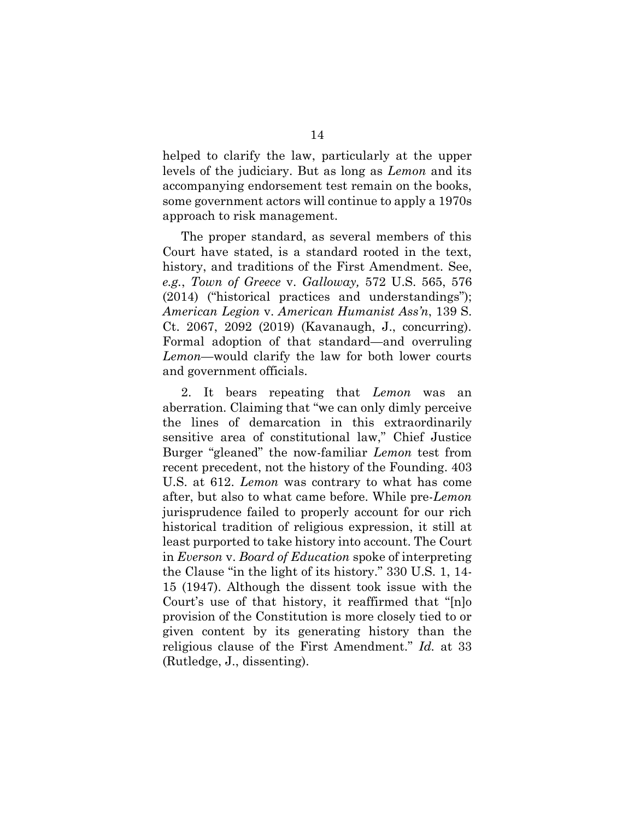helped to clarify the law, particularly at the upper levels of the judiciary. But as long as *Lemon* and its accompanying endorsement test remain on the books, some government actors will continue to apply a 1970s approach to risk management.

The proper standard, as several members of this Court have stated, is a standard rooted in the text, history, and traditions of the First Amendment. See, *e.g.*, *Town of Greece* v. *Galloway,* 572 U.S. 565, 576 (2014) ("historical practices and understandings"); *American Legion* v. *American Humanist Ass'n*, 139 S. Ct. 2067, 2092 (2019) (Kavanaugh, J., concurring). Formal adoption of that standard—and overruling *Lemon*—would clarify the law for both lower courts and government officials.

2. It bears repeating that *Lemon* was an aberration. Claiming that "we can only dimly perceive the lines of demarcation in this extraordinarily sensitive area of constitutional law," Chief Justice Burger "gleaned" the now-familiar *Lemon* test from recent precedent, not the history of the Founding. 403 U.S. at 612. *Lemon* was contrary to what has come after, but also to what came before. While pre-*Lemon* jurisprudence failed to properly account for our rich historical tradition of religious expression, it still at least purported to take history into account. The Court in *Everson* v. *Board of Education* spoke of interpreting the Clause "in the light of its history." 330 U.S. 1, 14- 15 (1947). Although the dissent took issue with the Court's use of that history, it reaffirmed that "[n]o provision of the Constitution is more closely tied to or given content by its generating history than the religious clause of the First Amendment." *Id.* at 33 (Rutledge, J., dissenting).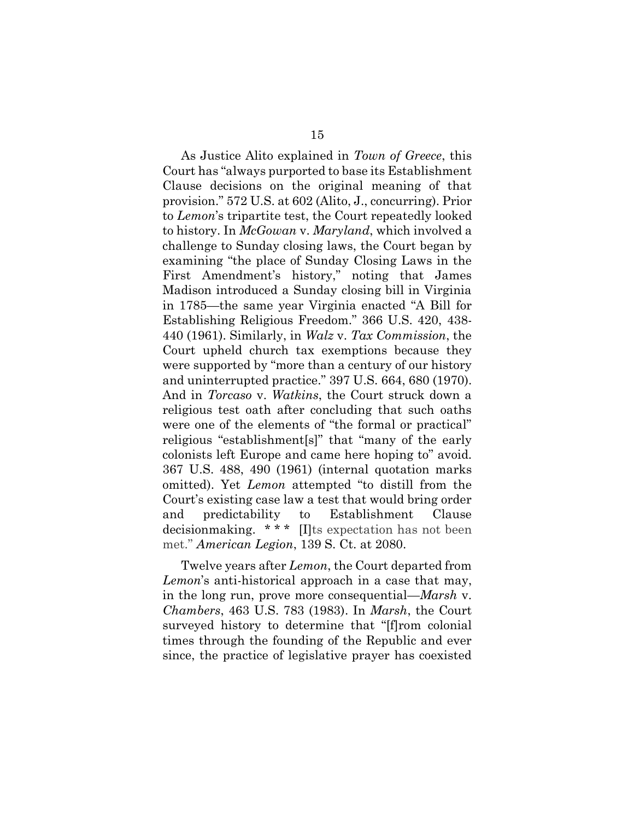As Justice Alito explained in *Town of Greece*, this Court has "always purported to base its Establishment Clause decisions on the original meaning of that provision." 572 U.S. at 602 (Alito, J., concurring). Prior to *Lemon*'s tripartite test, the Court repeatedly looked to history. In *McGowan* v. *Maryland*, which involved a challenge to Sunday closing laws, the Court began by examining "the place of Sunday Closing Laws in the First Amendment's history," noting that James Madison introduced a Sunday closing bill in Virginia in 1785—the same year Virginia enacted "A Bill for Establishing Religious Freedom." 366 U.S. 420, 438- 440 (1961). Similarly, in *Walz* v. *Tax Commission*, the Court upheld church tax exemptions because they were supported by "more than a century of our history and uninterrupted practice." 397 U.S. 664, 680 (1970). And in *Torcaso* v. *Watkins*, the Court struck down a religious test oath after concluding that such oaths were one of the elements of "the formal or practical" religious "establishment[s]" that "many of the early colonists left Europe and came here hoping to" avoid. 367 U.S. 488, 490 (1961) (internal quotation marks omitted). Yet *Lemon* attempted "to distill from the Court's existing case law a test that would bring order and predictability to Establishment Clause decisionmaking. \* \* \* [I]ts expectation has not been met." *American Legion*, 139 S. Ct. at 2080.

Twelve years after *Lemon*, the Court departed from *Lemon*'s anti-historical approach in a case that may, in the long run, prove more consequential—*Marsh* v. *Chambers*, 463 U.S. 783 (1983). In *Marsh*, the Court surveyed history to determine that "[f]rom colonial times through the founding of the Republic and ever since, the practice of legislative prayer has coexisted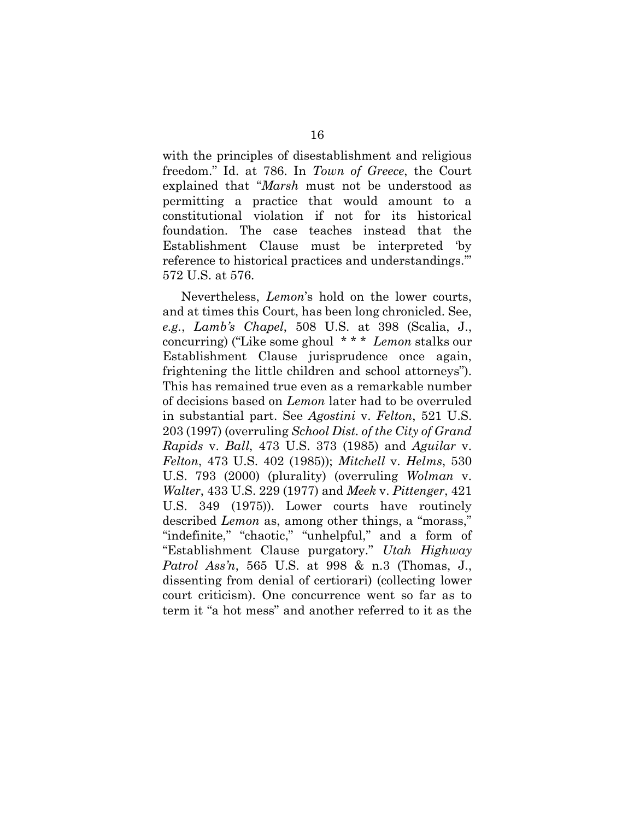with the principles of disestablishment and religious freedom." Id. at 786. In *Town of Greece*, the Court explained that "*Marsh* must not be understood as permitting a practice that would amount to a constitutional violation if not for its historical foundation. The case teaches instead that the Establishment Clause must be interpreted 'by reference to historical practices and understandings.'" 572 U.S. at 576.

Nevertheless, *Lemon*'s hold on the lower courts, and at times this Court, has been long chronicled. See, *e.g.*, *Lamb's Chapel*, 508 U.S. at 398 (Scalia, J., concurring) ("Like some ghoul \* \* \* *Lemon* stalks our Establishment Clause jurisprudence once again, frightening the little children and school attorneys"). This has remained true even as a remarkable number of decisions based on *Lemon* later had to be overruled in substantial part. See *Agostini* v. *Felton*, 521 U.S. 203 (1997) (overruling *School Dist. of the City of Grand Rapids* v. *Ball*, 473 U.S. 373 (1985) and *Aguilar* v. *Felton*, 473 U.S. 402 (1985)); *Mitchell* v. *Helms*, 530 U.S. 793 (2000) (plurality) (overruling *Wolman* v. *Walter*, 433 U.S. 229 (1977) and *Meek* v. *Pittenger*, 421 U.S. 349 (1975)). Lower courts have routinely described *Lemon* as, among other things, a "morass," "indefinite," "chaotic," "unhelpful," and a form of "Establishment Clause purgatory." *Utah Highway Patrol Ass'n*, 565 U.S. at 998 & n.3 (Thomas, J., dissenting from denial of certiorari) (collecting lower court criticism). One concurrence went so far as to term it "a hot mess" and another referred to it as the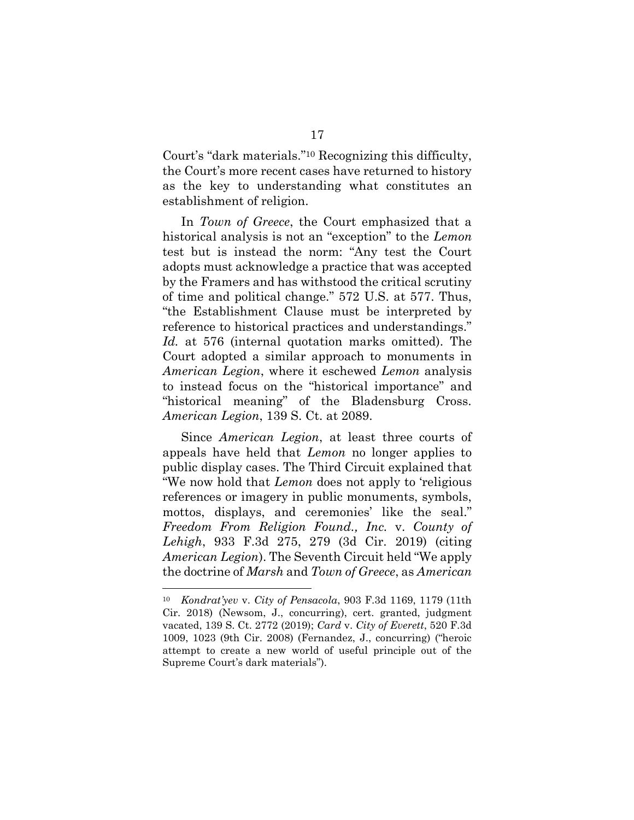Court's "dark materials."<sup>10</sup> Recognizing this difficulty, the Court's more recent cases have returned to history as the key to understanding what constitutes an establishment of religion.

In *Town of Greece*, the Court emphasized that a historical analysis is not an "exception" to the *Lemon* test but is instead the norm: "Any test the Court adopts must acknowledge a practice that was accepted by the Framers and has withstood the critical scrutiny of time and political change." 572 U.S. at 577. Thus, "the Establishment Clause must be interpreted by reference to historical practices and understandings." *Id.* at 576 (internal quotation marks omitted). The Court adopted a similar approach to monuments in *American Legion*, where it eschewed *Lemon* analysis to instead focus on the "historical importance" and "historical meaning" of the Bladensburg Cross. *American Legion*, 139 S. Ct. at 2089.

Since *American Legion*, at least three courts of appeals have held that *Lemon* no longer applies to public display cases. The Third Circuit explained that "We now hold that *Lemon* does not apply to 'religious references or imagery in public monuments, symbols, mottos, displays, and ceremonies' like the seal." *Freedom From Religion Found., Inc.* v. *County of Lehigh*, 933 F.3d 275, 279 (3d Cir. 2019) (citing *American Legion*). The Seventh Circuit held "We apply the doctrine of *Marsh* and *Town of Greece*, as *American* 

<sup>10</sup> *Kondrat'yev* v. *City of Pensacola*, 903 F.3d 1169, 1179 (11th Cir. 2018) (Newsom, J., concurring), cert. granted, judgment vacated, 139 S. Ct. 2772 (2019); *Card* v. *City of Everett*, 520 F.3d 1009, 1023 (9th Cir. 2008) (Fernandez, J., concurring) ("heroic attempt to create a new world of useful principle out of the Supreme Court's dark materials").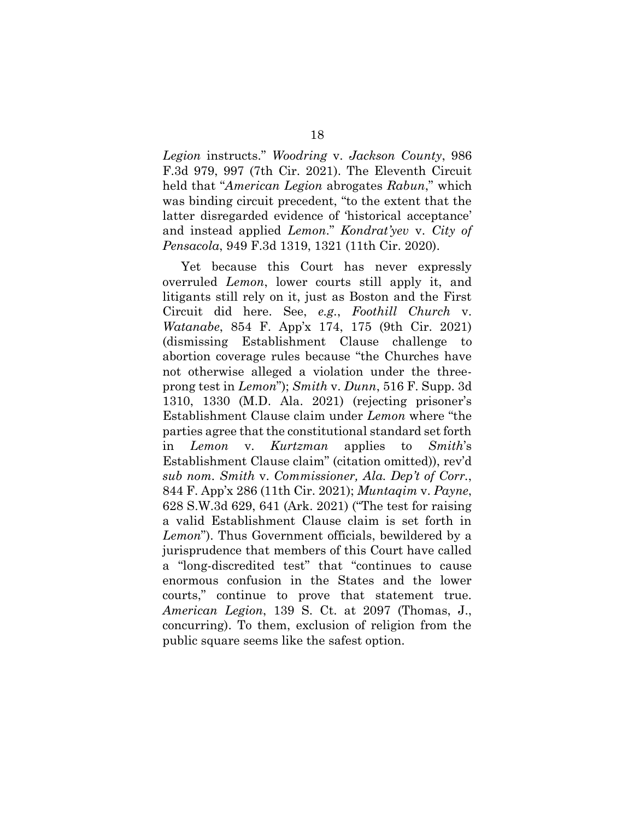*Legion* instructs." *Woodring* v. *Jackson County*, 986 F.3d 979, 997 (7th Cir. 2021). The Eleventh Circuit held that "*American Legion* abrogates *Rabun*," which was binding circuit precedent, "to the extent that the latter disregarded evidence of 'historical acceptance' and instead applied *Lemon*." *Kondrat'yev* v. *City of Pensacola*, 949 F.3d 1319, 1321 (11th Cir. 2020).

Yet because this Court has never expressly overruled *Lemon*, lower courts still apply it, and litigants still rely on it, just as Boston and the First Circuit did here. See, *e.g.*, *Foothill Church* v. *Watanabe*, 854 F. App'x 174, 175 (9th Cir. 2021) (dismissing Establishment Clause challenge to abortion coverage rules because "the Churches have not otherwise alleged a violation under the threeprong test in *Lemon*"); *Smith* v. *Dunn*, 516 F. Supp. 3d 1310, 1330 (M.D. Ala. 2021) (rejecting prisoner's Establishment Clause claim under *Lemon* where "the parties agree that the constitutional standard set forth in *Lemon* v. *Kurtzman* applies to *Smith*'s Establishment Clause claim" (citation omitted)), rev'd *sub nom. Smith* v. *Commissioner, Ala. Dep't of Corr.*, 844 F. App'x 286 (11th Cir. 2021); *Muntaqim* v. *Payne*, 628 S.W.3d 629, 641 (Ark. 2021) ("The test for raising a valid Establishment Clause claim is set forth in *Lemon*"). Thus Government officials, bewildered by a jurisprudence that members of this Court have called a "long-discredited test" that "continues to cause enormous confusion in the States and the lower courts," continue to prove that statement true. *American Legion*, 139 S. Ct. at 2097 (Thomas, J., concurring). To them, exclusion of religion from the public square seems like the safest option.